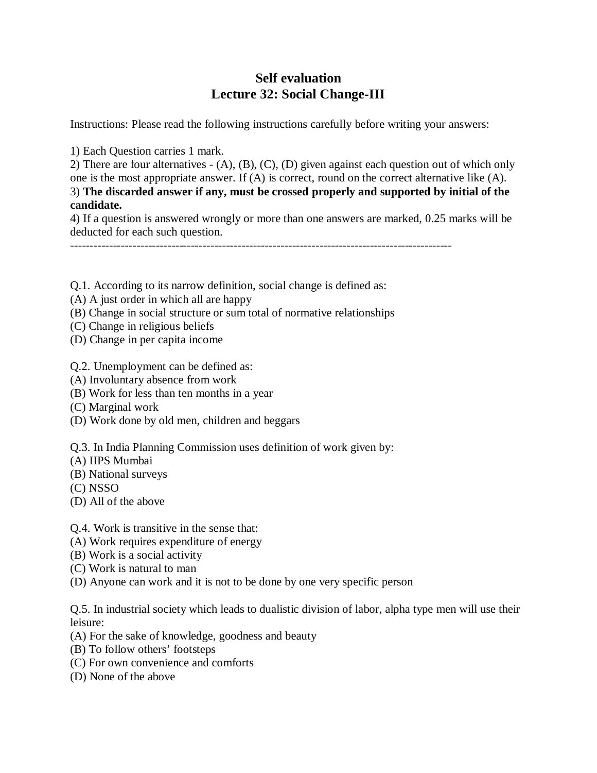## **Self evaluation Lecture 32: Social Change-III**

Instructions: Please read the following instructions carefully before writing your answers:

1) Each Question carries 1 mark.

2) There are four alternatives - (A), (B), (C), (D) given against each question out of which only one is the most appropriate answer. If (A) is correct, round on the correct alternative like (A). 3) **The discarded answer if any, must be crossed properly and supported by initial of the candidate.**

4) If a question is answered wrongly or more than one answers are marked, 0.25 marks will be deducted for each such question.

- Q.1. According to its narrow definition, social change is defined as:
- (A) A just order in which all are happy
- (B) Change in social structure or sum total of normative relationships
- (C) Change in religious beliefs
- (D) Change in per capita income
- Q.2. Unemployment can be defined as:
- (A) Involuntary absence from work
- (B) Work for less than ten months in a year
- (C) Marginal work
- (D) Work done by old men, children and beggars
- Q.3. In India Planning Commission uses definition of work given by:
- (A) IIPS Mumbai
- (B) National surveys
- (C) NSSO
- (D) All of the above
- Q.4. Work is transitive in the sense that:
- (A) Work requires expenditure of energy
- (B) Work is a social activity
- (C) Work is natural to man
- (D) Anyone can work and it is not to be done by one very specific person

Q.5. In industrial society which leads to dualistic division of labor, alpha type men will use their leisure:

- (A) For the sake of knowledge, goodness and beauty
- (B) To follow others' footsteps
- (C) For own convenience and comforts
- (D) None of the above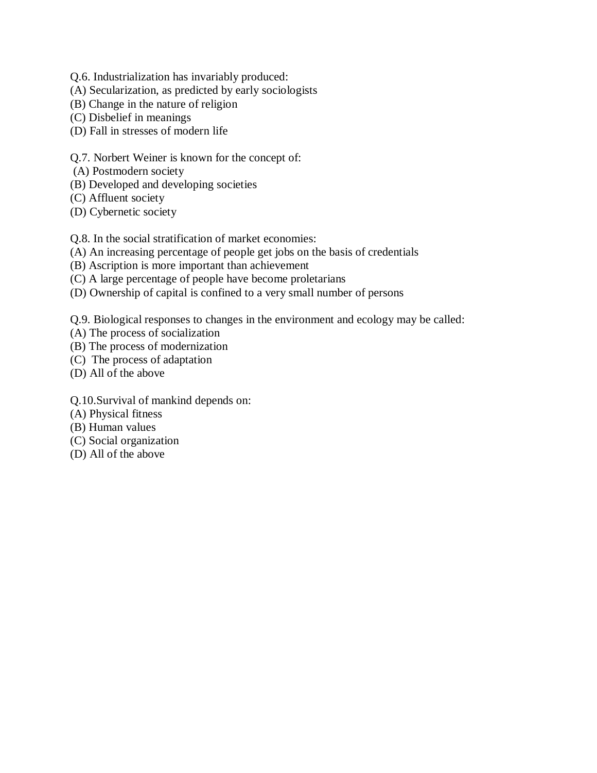- Q.6. Industrialization has invariably produced:
- (A) Secularization, as predicted by early sociologists
- (B) Change in the nature of religion
- (C) Disbelief in meanings
- (D) Fall in stresses of modern life
- Q.7. Norbert Weiner is known for the concept of:
- (A) Postmodern society
- (B) Developed and developing societies
- (C) Affluent society
- (D) Cybernetic society

Q.8. In the social stratification of market economies:

- (A) An increasing percentage of people get jobs on the basis of credentials
- (B) Ascription is more important than achievement
- (C) A large percentage of people have become proletarians
- (D) Ownership of capital is confined to a very small number of persons
- Q.9. Biological responses to changes in the environment and ecology may be called:
- (A) The process of socialization
- (B) The process of modernization
- (C) The process of adaptation
- (D) All of the above
- Q.10.Survival of mankind depends on:
- (A) Physical fitness
- (B) Human values
- (C) Social organization
- (D) All of the above